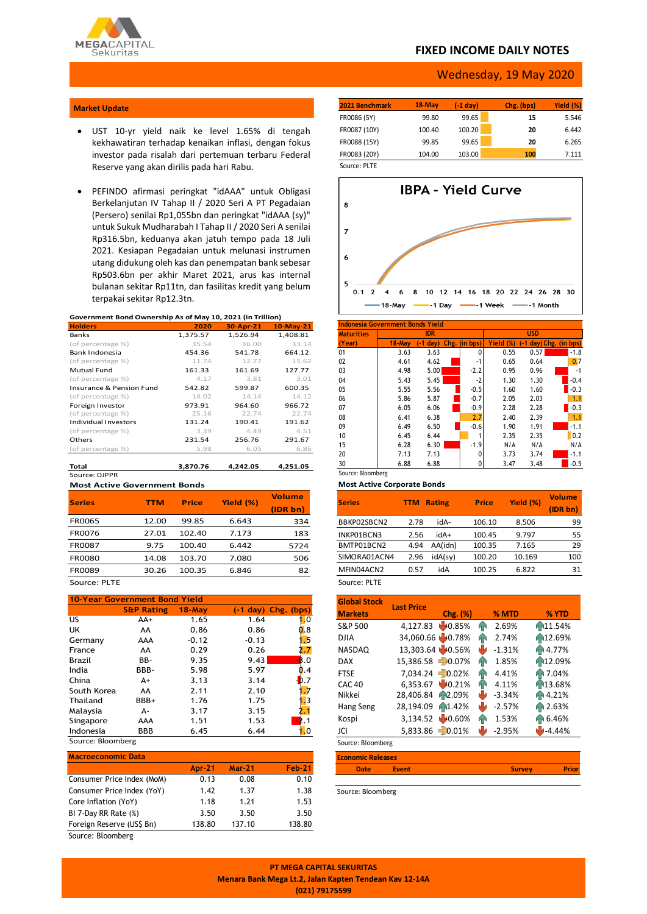

## **FIXED INCOME DAILY NOTES**

#### Wednesday, 19 May 2020

#### **Market Update**

- UST 10-yr yield naik ke level 1.65% di tengah kekhawatiran terhadap kenaikan inflasi, dengan fokus investor pada risalah dari pertemuan terbaru Federal Reserve yang akan dirilis pada hari Rabu.
- PEFINDO afirmasi peringkat "idAAA" untuk Obligasi Berkelanjutan IV Tahap II / 2020 Seri A PT Pegadaian (Persero) senilai Rp1,055bn dan peringkat "idAAA (sy)" untuk Sukuk Mudharabah I Tahap II / 2020 Seri A senilai Rp316.5bn, keduanya akan jatuh tempo pada 18 Juli 2021. Kesiapan Pegadaian untuk melunasi instrumen utang didukung oleh kas dan penempatan bank sebesar Rp503.6bn per akhir Maret 2021, arus kas internal bulanan sekitar Rp11tn, dan fasilitas kredit yang belum terpakai sekitar Rp12.3tn.

#### **Government Bond Ownership As of May 10, 2021 (in Trillion)**

| <b>Holders</b>           | 2020     | 30-Apr-21 | $10$ -May-21 |
|--------------------------|----------|-----------|--------------|
| <b>Banks</b>             | 1,375.57 | 1,526.94  | 1,408.81     |
| (of percentage %)        | 35.54    | 36.00     | 33.14        |
| Bank Indonesia           | 454.36   | 541.78    | 664.12       |
| (of percentage %)        | 11.74    | 12.77     | 15.62        |
| <b>Mutual Fund</b>       | 161.33   | 161.69    | 127.77       |
| (of percentage %)        | 4.17     | 3.81      | 3.01         |
| Insurance & Pension Fund | 542.82   | 599.87    | 600.35       |
| (of percentage %)        | 14.02    | 14.14     | 14.12        |
| Foreign Investor         | 973.91   | 964.60    | 966.72       |
| (of percentage %)        | 25.16    | 22.74     | 22.74        |
| Individual Investors     | 131.24   | 190.41    | 191.62       |
| (of percentage %)        | 3.39     | 4.49      | 4.51         |
| Others                   | 231.54   | 256.76    | 291.67       |
| (of percentage %)        | 5.98     | 6.05      | 6.86         |
| Total                    | 3.870.76 | 4.242.05  | 4.251.05     |

Source: DJPPR **Most Active Government Bonds**

| <b>Series</b> | <b>TTM</b> | <b>Price</b> | Yield (%) | <b>Volume</b><br>(IDR bn) |
|---------------|------------|--------------|-----------|---------------------------|
| <b>FR0065</b> | 12.00      | 99.85        | 6.643     | 334                       |
| FR0076        | 27.01      | 102.40       | 7.173     | 183                       |
| <b>FR0087</b> | 9.75       | 100.40       | 6.442     | 5724                      |
| <b>FR0080</b> | 14.08      | 103.70       | 7.080     | 506                       |
| <b>FR0089</b> | 30.26      | 100.35       | 6.846     | 82                        |

Source: PLTE

| <b>10-Year Government Bond Yield</b> |                       |            |         |                               |  |  |  |  |  |
|--------------------------------------|-----------------------|------------|---------|-------------------------------|--|--|--|--|--|
|                                      |                       |            |         |                               |  |  |  |  |  |
|                                      | <b>S&amp;P Rating</b> | $18 -$ Mav |         | $(-1 \text{ day})$ Chg. (bps) |  |  |  |  |  |
| US                                   | AA+                   | 1.65       | 1.64    | 0                             |  |  |  |  |  |
| UK                                   | AA                    | 0.86       | 0.86    | .8                            |  |  |  |  |  |
| Germany                              | AAA                   | $-0.12$    | $-0.13$ |                               |  |  |  |  |  |
| France                               | AA                    | 0.29       | 0.26    |                               |  |  |  |  |  |
| Brazil                               | BB-                   | 9.35       | 9.43    | $\bf{8.0}$                    |  |  |  |  |  |
| India                                | BBB-                  | 5.98       | 5.97    | .4                            |  |  |  |  |  |
| China                                | $A+$                  | 3.13       | 3.14    |                               |  |  |  |  |  |
| South Korea                          | AA                    | 2.11       | 2.10    |                               |  |  |  |  |  |
| Thailand                             | BBB+                  | 1.76       | 1.75    |                               |  |  |  |  |  |
| Malaysia                             | А-                    | 3.17       | 3.15    |                               |  |  |  |  |  |
| Singapore                            | AAA                   | 1.51       | 1.53    |                               |  |  |  |  |  |
| Indonesia                            | BBB                   | 6.45       | 6.44    | .0                            |  |  |  |  |  |
|                                      | Source: Bloomberg     |            |         |                               |  |  |  |  |  |

| <b>Macroeconomic Data</b>  |        |          |               |
|----------------------------|--------|----------|---------------|
|                            | Apr-21 | $Mar-21$ | <b>Feb-21</b> |
| Consumer Price Index (MoM) | 0.13   | 0.08     | 0.10          |
| Consumer Price Index (YoY) | 1.42   | 1.37     | 1.38          |
| Core Inflation (YoY)       | 1.18   | 1.21     | 1.53          |
| BI 7-Day RR Rate (%)       | 3.50   | 3.50     | 3.50          |
| Foreign Reserve (US\$ Bn)  | 138.80 | 137.10   | 138.80        |
| Source: Bloomberg          |        |          |               |

| 2021 Benchmark | $18$ -May | $(-1)$ day) | Chg. (bps) | Yield (%) |
|----------------|-----------|-------------|------------|-----------|
| FR0086 (5Y)    | 99.80     | 99.65       | 15         | 5.546     |
| FR0087 (10Y)   | 100.40    | 100.20      | 20         | 6.442     |
| FR0088 (15Y)   | 99.85     | 99.65       | 20         | 6.265     |
| FR0083 (20Y)   | 104.00    | 103.00      | 100        | 7.111     |
| Source: PLTE   |           |             |            |           |



| Indonesia Government Bonds Yield |                   |            |  |               |            |                        |        |  |  |
|----------------------------------|-------------------|------------|--|---------------|------------|------------------------|--------|--|--|
| <b>Maturities</b>                |                   | <b>IDR</b> |  |               | <b>USD</b> |                        |        |  |  |
| (Year)                           | $18 - May$        | $(-1 day)$ |  | Chg. (in bps) | Yield (%)  | (-1 day) Chg. (in bps) |        |  |  |
| 01                               | 3.63              | 3.63       |  |               | 0.55       | 0.57                   | $-1.8$ |  |  |
| 02                               | 4.61              | 4.62       |  | -1            | 0.65       | 0.64                   | 0.7    |  |  |
| 03                               | 4.98              | 5.00       |  | $-2.2$        | 0.95       | 0.96                   | $-1$   |  |  |
| 04                               | 5.43              | 5.45       |  | $-2$          | 1.30       | 1.30                   | $-0.4$ |  |  |
| 05                               | 5.55              | 5.56       |  | $-0.5$        | 1.60       | 1.60                   | $-0.3$ |  |  |
| 06                               | 5.86              | 5.87       |  | $-0.7$        | 2.05       | 2.03                   | 1.1    |  |  |
| 07                               | 6.05              | 6.06       |  | $-0.9$        | 2.28       | 2.28                   | $-0.3$ |  |  |
| 08                               | 6.41              | 6.38       |  | 2.7           | 2.40       | 2.39                   | 1.1    |  |  |
| 09                               | 6.49              | 6.50       |  | $-0.6$        | 1.90       | 1.91                   | $-1.1$ |  |  |
| 10                               | 6.45              | 6.44       |  |               | 2.35       | 2.35                   | 0.2    |  |  |
| 15                               | 6.28              | 6.30       |  | $-1.9$        | N/A        | N/A                    | N/A    |  |  |
| 20                               | 7.13              | 7.13       |  | Ω             | 3.73       | 3.74                   | $-1.1$ |  |  |
| 30                               | 6.88              | 6.88       |  |               | 3.47       | 3.48                   | $-0.5$ |  |  |
|                                  | Source: Bloomberg |            |  |               |            |                        |        |  |  |

#### **Most Active Corporate Bonds**

| <b>Series</b> | TTM  | <b>Rating</b> | <b>Price</b> | Yield (%) | <b>Volume</b><br>(IDR bn) |
|---------------|------|---------------|--------------|-----------|---------------------------|
| BBKP02SBCN2   | 2.78 | idA-          | 106.10       | 8.506     | 99                        |
| INKP01BCN3    | 2.56 | +Abi          | 100.45       | 9.797     | 55                        |
| BMTP01BCN2    | 4.94 | AA(idn)       | 100.35       | 7.165     | 29                        |
| SIMORA01ACN4  | 2.96 | idA(sy)       | 100.20       | 10.169    | 100                       |
| MFIN04ACN2    | 0.57 | Abi           | 100.25       | 6.822     | 31                        |
| Source: PLTE  |      |               |              |           |                           |

| <b>Global Stock</b>      | <b>Last Price</b>   |               |                |          |  |  |  |
|--------------------------|---------------------|---------------|----------------|----------|--|--|--|
| <b>Markets</b>           |                     | $Chg.$ $(\%)$ | % MTD          | % YTD    |  |  |  |
| S&P 500                  | 4,127.83            | 40.85%        | 2.69%<br>ЙÑ    | 11.54%   |  |  |  |
| DJIA                     | 34,060.66 40.78%    |               | 2.74%<br>ЯŃ    | 12.69%   |  |  |  |
| <b>NASDAQ</b>            | 13,303.64 40.56%    |               | ٣V<br>$-1.31%$ | Fr 4.77% |  |  |  |
| <b>DAX</b>               | $15,386.58 - 0.07%$ |               | 1.85%<br>ИN    | 12.09%   |  |  |  |
| <b>FTSE</b>              | 7,034.24 - 0.02%    |               | 4.41%<br>ЙÑ    | AP 7.04% |  |  |  |
| <b>CAC 40</b>            | 6.353.67            | 40.21%        | 4.11%<br>ЙÑ    | AN13.68% |  |  |  |
| Nikkei                   | 28.406.84           | AN2.09%       | W<br>$-3.34%$  | AP 4.21% |  |  |  |
| Hang Seng                | 28,194.09           | AN1.42%       | $-2.57%$<br>w  | AP 2.63% |  |  |  |
| Kospi                    | 3,134.52            | 140.60%       | 1.53%<br>hР    | Fr 6.46% |  |  |  |
| JCI                      | 5.833.86            | $= 0.01%$     | $-2.95%$       | $-4.44%$ |  |  |  |
| Source: Bloomberg        |                     |               |                |          |  |  |  |
| <b>Economic Releases</b> |                     |               |                |          |  |  |  |

| Date | <b>Event</b> | <b>Survey</b> | Prior |
|------|--------------|---------------|-------|
|      |              |               |       |

Source: Bloomberg

**PT MEGA CAPITAL SEKURITAS Menara Bank Mega Lt.2, Jalan Kapten Tendean Kav 12-14A (021) 79175599**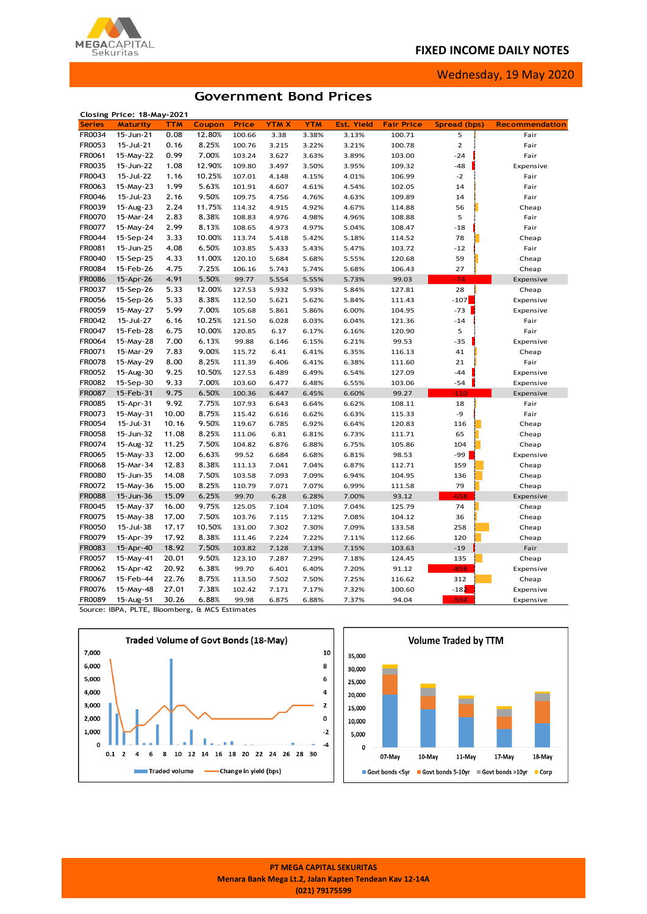## **FIXED INCOME DAILY NOTES**



Wednesday, 19 May 2020

## **Government Bond Prices**

|               | Closing Price: 18-May-2021 |            |        |        |             |            |                   |                   |                     |                       |
|---------------|----------------------------|------------|--------|--------|-------------|------------|-------------------|-------------------|---------------------|-----------------------|
| <b>Series</b> | <b>Maturity</b>            | <b>TTM</b> | Coupon | Price  | <b>YTMX</b> | <b>YTM</b> | <b>Est. Yield</b> | <b>Fair Price</b> | <b>Spread (bps)</b> | <b>Recommendation</b> |
| FR0034        | 15-Jun-21                  | 0.08       | 12.80% | 100.66 | 3.38        | 3.38%      | 3.13%             | 100.71            | 5                   | Fair                  |
| FR0053        | 15-Jul-21                  | 0.16       | 8.25%  | 100.76 | 3.215       | 3.22%      | 3.21%             | 100.78            | $\overline{2}$      | Fair                  |
| FR0061        | 15-May-22                  | 0.99       | 7.00%  | 103.24 | 3.627       | 3.63%      | 3.89%             | 103.00            | $-24$               | Fair                  |
| FR0035        | 15-Jun-22                  | 1.08       | 12.90% | 109.80 | 3.497       | 3.50%      | 3.95%             | 109.32            | $-48$               | Expensive             |
| FR0043        | 15-Jul-22                  | 1.16       | 10.25% | 107.01 | 4.148       | 4.15%      | 4.01%             | 106.99            | $-2$                | Fair                  |
| FR0063        | 15-May-23                  | 1.99       | 5.63%  | 101.91 | 4.607       | 4.61%      | 4.54%             | 102.05            | 14                  | Fair                  |
| FR0046        | 15-Jul-23                  | 2.16       | 9.50%  | 109.75 | 4.756       | 4.76%      | 4.63%             | 109.89            | 14                  | Fair                  |
| FR0039        | 15-Aug-23                  | 2.24       | 11.75% | 114.32 | 4.915       | 4.92%      | 4.67%             | 114.88            | 56                  | Cheap                 |
| FR0070        | 15-Mar-24                  | 2.83       | 8.38%  | 108.83 | 4.976       | 4.98%      | 4.96%             | 108.88            | 5                   | Fair                  |
| FR0077        | 15-May-24                  | 2.99       | 8.13%  | 108.65 | 4.973       | 4.97%      | 5.04%             | 108.47            | $-18$               | Fair                  |
| FR0044        | 15-Sep-24                  | 3.33       | 10.00% | 113.74 | 5.418       | 5.42%      | 5.18%             | 114.52            | 78                  | Cheap                 |
| FR0081        | 15-Jun-25                  | 4.08       | 6.50%  | 103.85 | 5.433       | 5.43%      | 5.47%             | 103.72            | $-12$               | Fair                  |
| FR0040        | 15-Sep-25                  | 4.33       | 11.00% | 120.10 | 5.684       | 5.68%      | 5.55%             | 120.68            | 59                  | Cheap                 |
| FR0084        | 15-Feb-26                  | 4.75       | 7.25%  | 106.16 | 5.743       | 5.74%      | 5.68%             | 106.43            | 27                  | Cheap                 |
| <b>FR0086</b> | 15-Apr-26                  | 4.91       | 5.50%  | 99.77  | 5.554       | 5.55%      | 5.73%             | 99.03             | $-74$               | Expensive             |
| FR0037        | 15-Sep-26                  | 5.33       | 12.00% | 127.53 | 5.932       | 5.93%      | 5.84%             | 127.81            | 28                  | Cheap                 |
| FR0056        | 15-Sep-26                  | 5.33       | 8.38%  | 112.50 | 5.621       | 5.62%      | 5.84%             | 111.43            | $-107$              | Expensive             |
| FR0059        | 15-May-27                  | 5.99       | 7.00%  | 105.68 | 5.861       | 5.86%      | 6.00%             | 104.95            | $-73$               | Expensive             |
| FR0042        | 15-Jul-27                  | 6.16       | 10.25% | 121.50 | 6.028       | 6.03%      | 6.04%             | 121.36            | $-14$               | Fair                  |
| FR0047        | 15-Feb-28                  | 6.75       | 10.00% | 120.85 | 6.17        | 6.17%      | 6.16%             | 120.90            | 5                   | Fair                  |
| FR0064        | 15-May-28                  | 7.00       | 6.13%  | 99.88  | 6.146       | 6.15%      | 6.21%             | 99.53             | $-35$               | Expensive             |
| FR0071        | 15-Mar-29                  | 7.83       | 9.00%  | 115.72 | 6.41        | 6.41%      | 6.35%             | 116.13            | 41                  | Cheap                 |
| FR0078        | 15-May-29                  | 8.00       | 8.25%  | 111.39 | 6.406       | 6.41%      | 6.38%             | 111.60            | 21                  | Fair                  |
| FR0052        | 15-Aug-30                  | 9.25       | 10.50% | 127.53 | 6.489       | 6.49%      | 6.54%             | 127.09            | $-44$               | Expensive             |
| FR0082        | 15-Sep-30                  | 9.33       | 7.00%  | 103.60 | 6.477       | 6.48%      | 6.55%             | 103.06            | $-54$               | Expensive             |
| FR0087        | 15-Feb-31                  | 9.75       | 6.50%  | 100.36 | 6.447       | 6.45%      | 6.60%             | 99.27             | $-110$              | Expensive             |
| FR0085        | 15-Apr-31                  | 9.92       | 7.75%  | 107.93 | 6.643       | 6.64%      | 6.62%             | 108.11            | 18                  | Fair                  |
| FR0073        | 15-May-31                  | 10.00      | 8.75%  | 115.42 | 6.616       | 6.62%      | 6.63%             | 115.33            | -9                  | Fair                  |
| FR0054        | 15-Jul-31                  | 10.16      | 9.50%  | 119.67 | 6.785       | 6.92%      | 6.64%             | 120.83            | 116                 | Cheap                 |
| FR0058        | 15-Jun-32                  | 11.08      | 8.25%  | 111.06 | 6.81        | 6.81%      | 6.73%             | 111.71            | 65                  | Cheap                 |
| FR0074        | 15-Aug-32                  | 11.25      | 7.50%  | 104.82 | 6.876       | 6.88%      | 6.75%             | 105.86            | 104                 | Cheap                 |
| FR0065        | 15-May-33                  | 12.00      | 6.63%  | 99.52  | 6.684       | 6.68%      | 6.81%             | 98.53             | -99                 | Expensive             |
| FR0068        | 15-Mar-34                  | 12.83      | 8.38%  | 111.13 | 7.041       | 7.04%      | 6.87%             | 112.71            | 159                 | Cheap                 |
| FR0080        | 15-Jun-35                  | 14.08      | 7.50%  | 103.58 | 7.093       | 7.09%      | 6.94%             | 104.95            | 136                 | Cheap                 |
| FR0072        | 15-May-36                  | 15.00      | 8.25%  | 110.79 | 7.071       | 7.07%      | 6.99%             | 111.58            | 79                  | Cheap                 |
| <b>FR0088</b> | 15-Jun-36                  | 15.09      | 6.25%  | 99.70  | 6.28        | 6.28%      | 7.00%             | 93.12             | $-658$              | Expensive             |
| FR0045        | 15-May-37                  | 16.00      | 9.75%  | 125.05 | 7.104       | 7.10%      | 7.04%             | 125.79            | 74                  | Cheap                 |
| FR0075        | 15-May-38                  | 17.00      | 7.50%  | 103.76 | 7.115       | 7.12%      | 7.08%             | 104.12            | 36                  | Cheap                 |
| FR0050        | 15-Jul-38                  | 17.17      | 10.50% | 131.00 | 7.302       | 7.30%      | 7.09%             | 133.58            | 258                 | Cheap                 |
| FR0079        | 15-Apr-39                  | 17.92      | 8.38%  | 111.46 | 7.224       | 7.22%      | 7.11%             | 112.66            | 120                 | Cheap                 |
| FR0083        | 15-Apr-40                  | 18.92      | 7.50%  | 103.82 | 7.128       | 7.13%      | 7.15%             | 103.63            | $-19$               | Fair                  |
| FR0057        | 15-May-41                  | 20.01      | 9.50%  | 123.10 | 7.287       | 7.29%      | 7.18%             | 124.45            | 135                 | Cheap                 |
| FR0062        | 15-Apr-42                  | 20.92      | 6.38%  | 99.70  | 6.401       | 6.40%      | 7.20%             | 91.12             | $-858$              | Expensive             |
| FR0067        | 15-Feb-44                  | 22.76      | 8.75%  | 113.50 | 7.502       | 7.50%      | 7.25%             | 116.62            | 312                 | Cheap                 |
| FR0076        | 15-May-48                  | 27.01      | 7.38%  | 102.42 | 7.171       | 7.17%      | 7.32%             | 100.60            | $-182$              | Expensive             |
| <b>FR0089</b> | 15-Aug-51                  | 30.26      | 6.88%  | 99.98  | 6.875       | 6.88%      | 7.37%             | 94.04             | $-594$              | Expensive             |
|               |                            |            |        |        |             |            |                   |                   |                     |                       |

Source: IBPA, PLTE, Bloomberg, & MCS Estimates